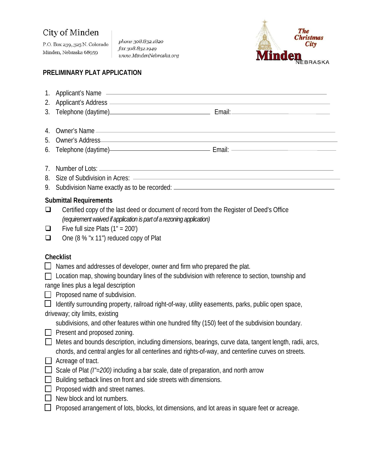## City of Minden

P.O. Box 239, 325 N. Colorado Minden, Nebraska 68959

phone 308.832.1820 fax 308.832.1949 unvw.MindenNebraska.org



## **PRELIMINARY PLAT APPLICATION**

| 2.<br>3.         | 1. Applicant's Name <b>contract and the contract of the set of the contract of the contract of the contract of the contract of the contract of the contract of the contract of the contract of the contract of the contract of t</b><br>Applicant's Address (2002) Applicant of the American Section 1997 and 2008 and 2008 and 2008 and 2008 and 2008                                                                                                                                                                                                                                                                                                                                                                                                                                                                                                                                                                                                                                                                                                                                                                                     |
|------------------|--------------------------------------------------------------------------------------------------------------------------------------------------------------------------------------------------------------------------------------------------------------------------------------------------------------------------------------------------------------------------------------------------------------------------------------------------------------------------------------------------------------------------------------------------------------------------------------------------------------------------------------------------------------------------------------------------------------------------------------------------------------------------------------------------------------------------------------------------------------------------------------------------------------------------------------------------------------------------------------------------------------------------------------------------------------------------------------------------------------------------------------------|
| 4.<br>5.<br>6.   | Telephone (daytime) Email: Email:                                                                                                                                                                                                                                                                                                                                                                                                                                                                                                                                                                                                                                                                                                                                                                                                                                                                                                                                                                                                                                                                                                          |
| 7.<br>8.<br>9.   |                                                                                                                                                                                                                                                                                                                                                                                                                                                                                                                                                                                                                                                                                                                                                                                                                                                                                                                                                                                                                                                                                                                                            |
| ❏<br>$\Box$<br>❏ | <b>Submittal Requirements</b><br>Certified copy of the last deed or document of record from the Register of Deed's Office<br>(requirement waived if application is part of a rezoning application)<br>Five full size Plats $(1" = 200')$<br>One (8 % "x 11") reduced copy of Plat                                                                                                                                                                                                                                                                                                                                                                                                                                                                                                                                                                                                                                                                                                                                                                                                                                                          |
| ப                | <b>Checklist</b><br>Names and addresses of developer, owner and firm who prepared the plat.<br>□ Location map, showing boundary lines of the subdivision with reference to section, township and<br>range lines plus a legal description<br>$\Box$ Proposed name of subdivision.<br>Identify surrounding property, railroad right-of-way, utility easements, parks, public open space,<br>driveway; city limits, existing<br>subdivisions, and other features within one hundred fifty (150) feet of the subdivision boundary.<br>$\Box$ Present and proposed zoning.<br>Metes and bounds description, including dimensions, bearings, curve data, tangent length, radii, arcs,<br>chords, and central angles for all centerlines and rights-of-way, and centerline curves on streets.<br>Acreage of tract.<br>Scale of Plat (I"=200) including a bar scale, date of preparation, and north arrow<br>Building setback lines on front and side streets with dimensions.<br>Proposed width and street names.<br>New block and lot numbers.<br>Proposed arrangement of lots, blocks, lot dimensions, and lot areas in square feet or acreage. |